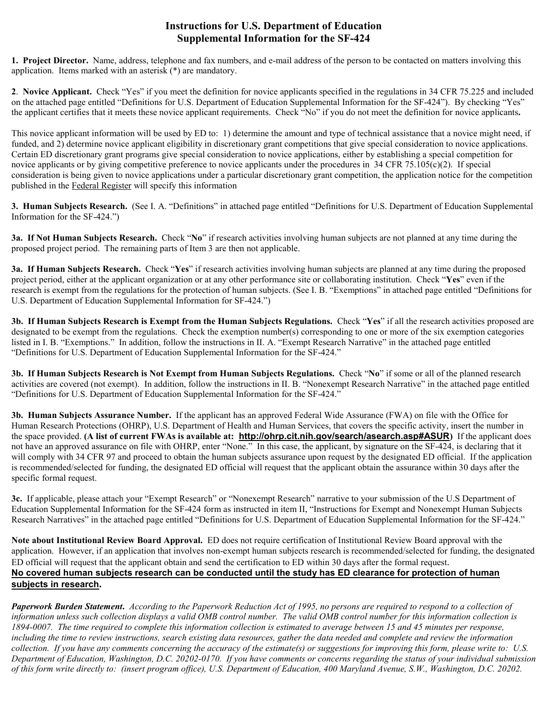# **Instructions for U.S. Department of Education Supplemental Information for the SF-424**

**1. Project Director.** Name, address, telephone and fax numbers, and e-mail address of the person to be contacted on matters involving this application. Items marked with an asterisk (\*) are mandatory.

**2**. **Novice Applicant.** Check "Yes" if you meet the definition for novice applicants specified in the regulations in 34 CFR 75.225 and included on the attached page entitled "Definitions for U.S. Department of Education Supplemental Information for the SF-424"). By checking "Yes" the applicant certifies that it meets these novice applicant requirements. Check "No" if you do not meet the definition for novice applicants**.**

This novice applicant information will be used by ED to: 1) determine the amount and type of technical assistance that a novice might need, if funded, and 2) determine novice applicant eligibility in discretionary grant competitions that give special consideration to novice applications. Certain ED discretionary grant programs give special consideration to novice applications, either by establishing a special competition for novice applicants or by giving competitive preference to novice applicants under the procedures in 34 CFR 75.105(c)(2). If special consideration is being given to novice applications under a particular discretionary grant competition, the application notice for the competition published in the Federal Register will specify this information

**3. Human Subjects Research.** (See I. A. "Definitions" in attached page entitled "Definitions for U.S. Department of Education Supplemental Information for the SF-424.")

**3a. If Not Human Subjects Research.** Check "**No**" if research activities involving human subjects are not planned at any time during the proposed project period. The remaining parts of Item 3 are then not applicable.

**3a. If Human Subjects Research.** Check "**Yes**" if research activities involving human subjects are planned at any time during the proposed project period, either at the applicant organization or at any other performance site or collaborating institution. Check "**Yes**" even if the research is exempt from the regulations for the protection of human subjects. (See I. B. "Exemptions" in attached page entitled "Definitions for U.S. Department of Education Supplemental Information for SF-424.")

**3b. If Human Subjects Research is Exempt from the Human Subjects Regulations.** Check "**Yes**" if all the research activities proposed are designated to be exempt from the regulations. Check the exemption number(s) corresponding to one or more of the six exemption categories listed in I. B. "Exemptions." In addition, follow the instructions in II. A. "Exempt Research Narrative" in the attached page entitled "Definitions for U.S. Department of Education Supplemental Information for the SF-424."

**3b. If Human Subjects Research is Not Exempt from Human Subjects Regulations.** Check "**No**" if some or all of the planned research activities are covered (not exempt). In addition, follow the instructions in II. B. "Nonexempt Research Narrative" in the attached page entitled "Definitions for U.S. Department of Education Supplemental Information for the SF-424."

**3b. Human Subjects Assurance Number.** If the applicant has an approved Federal Wide Assurance (FWA) on file with the Office for Human Research Protections (OHRP), U.S. Department of Health and Human Services, that covers the specific activity, insert the number in the space provided. **(A list of current FWAs is available at: http://ohrp.cit.nih.gov/search/asearch.asp#ASUR)** If the applicant does not have an approved assurance on file with OHRP, enter "None." In this case, the applicant, by signature on the SF-424, is declaring that it will comply with 34 CFR 97 and proceed to obtain the human subjects assurance upon request by the designated ED official. If the application is recommended/selected for funding, the designated ED official will request that the applicant obtain the assurance within 30 days after the specific formal request.

**3c.** If applicable, please attach your "Exempt Research" or "Nonexempt Research" narrative to your submission of the U.S Department of Education Supplemental Information for the SF-424 form as instructed in item II, "Instructions for Exempt and Nonexempt Human Subjects Research Narratives" in the attached page entitled "Definitions for U.S. Department of Education Supplemental Information for the SF-424."

**Note about Institutional Review Board Approval.** ED does not require certification of Institutional Review Board approval with the application. However, if an application that involves non-exempt human subjects research is recommended/selected for funding, the designated ED official will request that the applicant obtain and send the certification to ED within 30 days after the formal request. **No covered human subjects research can be conducted until the study has ED clearance for protection of human subjects in research.**

*Paperwork Burden Statement***.** *According to the Paperwork Reduction Act of 1995, no persons are required to respond to a collection of information unless such collection displays a valid OMB control number. The valid OMB control number for this information collection is 1894-0007. The time required to complete this information collection is estimated to average between 15 and 45 minutes per response, including the time to review instructions, search existing data resources, gather the data needed and complete and review the information collection. If you have any comments concerning the accuracy of the estimate(s) or suggestions for improving this form, please write to: U.S. Department of Education, Washington, D.C. 20202-0170. If you have comments or concerns regarding the status of your individual submission of this form write directly to: (insert program office), U.S. Department of Education, 400 Maryland Avenue, S.W., Washington, D.C. 20202.*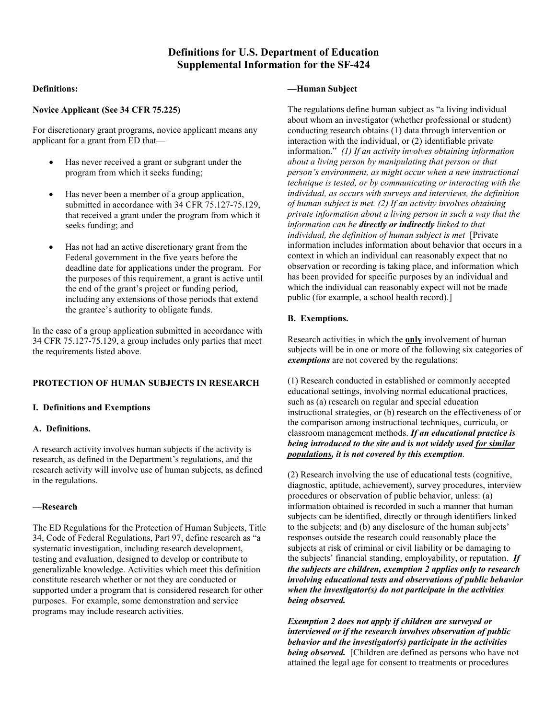## **Definitions for U.S. Department of Education Supplemental Information for the SF-424**

#### **Definitions:**

## **Novice Applicant (See 34 CFR 75.225)**

For discretionary grant programs, novice applicant means any applicant for a grant from ED that—

- Has never received a grant or subgrant under the program from which it seeks funding;
- Has never been a member of a group application, submitted in accordance with 34 CFR 75.127-75.129, that received a grant under the program from which it seeks funding; and
- Has not had an active discretionary grant from the Federal government in the five years before the deadline date for applications under the program. For the purposes of this requirement, a grant is active until the end of the grant's project or funding period, including any extensions of those periods that extend the grantee's authority to obligate funds.

In the case of a group application submitted in accordance with 34 CFR 75.127-75.129, a group includes only parties that meet the requirements listed above.

### **PROTECTION OF HUMAN SUBJECTS IN RESEARCH**

#### **I. Definitions and Exemptions**

#### **A. Definitions.**

A research activity involves human subjects if the activity is research, as defined in the Department's regulations, and the research activity will involve use of human subjects, as defined in the regulations.

### —**Research**

The ED Regulations for the Protection of Human Subjects, Title 34, Code of Federal Regulations, Part 97, define research as "a systematic investigation, including research development, testing and evaluation, designed to develop or contribute to generalizable knowledge. Activities which meet this definition constitute research whether or not they are conducted or supported under a program that is considered research for other purposes. For example, some demonstration and service programs may include research activities.

#### **—Human Subject**

The regulations define human subject as "a living individual about whom an investigator (whether professional or student) conducting research obtains (1) data through intervention or interaction with the individual, or (2) identifiable private information." *(1) If an activity involves obtaining information about a living person by manipulating that person or that person's environment, as might occur when a new instructional technique is tested, or by communicating or interacting with the individual, as occurs with surveys and interviews, the definition of human subject is met. (2) If an activity involves obtaining private information about a living person in such a way that the information can be directly or indirectly linked to that individual, the definition of human subject is met* [Private information includes information about behavior that occurs in a context in which an individual can reasonably expect that no observation or recording is taking place, and information which has been provided for specific purposes by an individual and which the individual can reasonably expect will not be made public (for example, a school health record).]

### **B. Exemptions.**

Research activities in which the **only** involvement of human subjects will be in one or more of the following six categories of *exemptions* are not covered by the regulations:

(1) Research conducted in established or commonly accepted educational settings, involving normal educational practices, such as (a) research on regular and special education instructional strategies, or (b) research on the effectiveness of or the comparison among instructional techniques, curricula, or classroom management methods. *If an educational practice is being introduced to the site and is not widely used for similar populations, it is not covered by this exemption.*

(2) Research involving the use of educational tests (cognitive, diagnostic, aptitude, achievement), survey procedures, interview procedures or observation of public behavior, unless: (a) information obtained is recorded in such a manner that human subjects can be identified, directly or through identifiers linked to the subjects; and (b) any disclosure of the human subjects' responses outside the research could reasonably place the subjects at risk of criminal or civil liability or be damaging to the subjects' financial standing, employability, or reputation. *If the subjects are children, exemption 2 applies only to research involving educational tests and observations of public behavior when the investigator(s) do not participate in the activities being observed.* 

*Exemption 2 does not apply if children are surveyed or interviewed or if the research involves observation of public behavior and the investigator(s) participate in the activities being observed.* [Children are defined as persons who have not attained the legal age for consent to treatments or procedures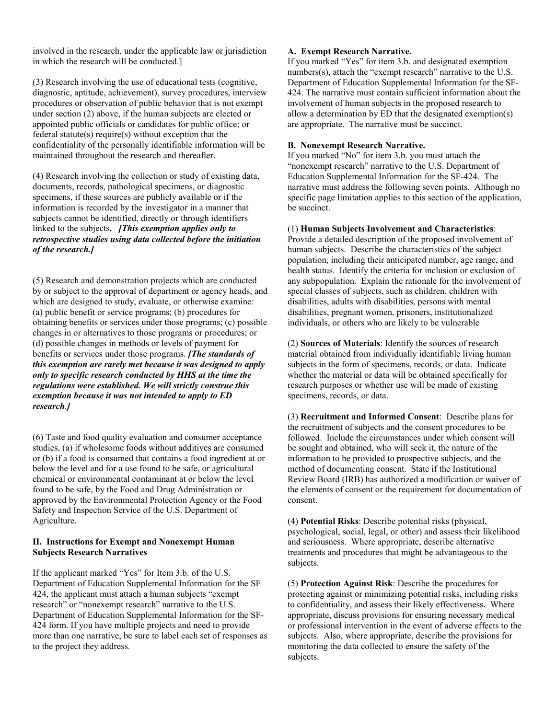involved in the research, under the applicable law or jurisdiction in which the research will be conducted.]

(3) Research involving the use of educational tests (cognitive, diagnostic, aptitude, achievement), survey procedures, interview procedures or observation of public behavior that is not exempt under section (2) above, if the human subjects are elected or appointed public officials or candidates for public office; or federal statute(s) require(s) without exception that the confidentiality of the personally identifiable information will be maintained throughout the research and thereafter.

(4) Research involving the collection or study of existing data, documents, records, pathological specimens, or diagnostic specimens, if these sources are publicly available or if the information is recorded by the investigator in a manner that subjects cannot be identified, directly or through identifiers linked to the subjects**.** *[This exemption applies only to retrospective studies using data collected before the initiation of the research.]*

(5) Research and demonstration projects which are conducted by or subject to the approval of department or agency heads, and which are designed to study, evaluate, or otherwise examine: (a) public benefit or service programs; (b) procedures for obtaining benefits or services under those programs; (c) possible changes in or alternatives to those programs or procedures; or (d) possible changes in methods or levels of payment for benefits or services under those programs. *[The standards of this exemption are rarely met because it was designed to apply only to specific research conducted by HHS at the time the regulations were established. We will strictly construe this exemption because it was not intended to apply to ED research.]*

(6) Taste and food quality evaluation and consumer acceptance studies, (a) if wholesome foods without additives are consumed or (b) if a food is consumed that contains a food ingredient at or below the level and for a use found to be safe, or agricultural chemical or environmental contaminant at or below the level found to be safe, by the Food and Drug Administration or approved by the Environmental Protection Agency or the Food Safety and Inspection Service of the U.S. Department of Agriculture.

### **II. Instructions for Exempt and Nonexempt Human Subjects Research Narratives**

If the applicant marked "Yes" for Item 3.b. of the U.S. Department of Education Supplemental Information for the SF 424, the applicant must attach a human subjects "exempt research" or "nonexempt research" narrative to the U.S. Department of Education Supplemental Information for the SF-424 form. If you have multiple projects and need to provide more than one narrative, be sure to label each set of responses as to the project they address.

#### **A. Exempt Research Narrative.**

If you marked "Yes" for item 3.b. and designated exemption numbers(s), attach the "exempt research" narrative to the U.S. Department of Education Supplemental Information for the SF-424. The narrative must contain sufficient information about the involvement of human subjects in the proposed research to allow a determination by ED that the designated exemption(s) are appropriate. The narrative must be succinct.

#### **B. Nonexempt Research Narrative.**

If you marked "No" for item 3.b. you must attach the "nonexempt research" narrative to the U.S. Department of Education Supplemental Information for the SF-424. The narrative must address the following seven points. Although no specific page limitation applies to this section of the application, be succinct.

#### (1) **Human Subjects Involvement and Characteristics**:

Provide a detailed description of the proposed involvement of human subjects. Describe the characteristics of the subject population, including their anticipated number, age range, and health status. Identify the criteria for inclusion or exclusion of any subpopulation. Explain the rationale for the involvement of special classes of subjects, such as children, children with disabilities, adults with disabilities, persons with mental disabilities, pregnant women, prisoners, institutionalized individuals, or others who are likely to be vulnerable

(2) **Sources of Materials**: Identify the sources of research material obtained from individually identifiable living human subjects in the form of specimens, records, or data. Indicate whether the material or data will be obtained specifically for research purposes or whether use will be made of existing specimens, records, or data.

(3) **Recruitment and Informed Consent**: Describe plans for the recruitment of subjects and the consent procedures to be followed. Include the circumstances under which consent will be sought and obtained, who will seek it, the nature of the information to be provided to prospective subjects, and the method of documenting consent. State if the Institutional Review Board (IRB) has authorized a modification or waiver of the elements of consent or the requirement for documentation of consent.

(4) **Potential Risks**: Describe potential risks (physical, psychological, social, legal, or other) and assess their likelihood and seriousness. Where appropriate, describe alternative treatments and procedures that might be advantageous to the subjects.

(5) **Protection Against Risk**: Describe the procedures for protecting against or minimizing potential risks, including risks to confidentiality, and assess their likely effectiveness. Where appropriate, discuss provisions for ensuring necessary medical or professional intervention in the event of adverse effects to the subjects. Also, where appropriate, describe the provisions for monitoring the data collected to ensure the safety of the subjects.